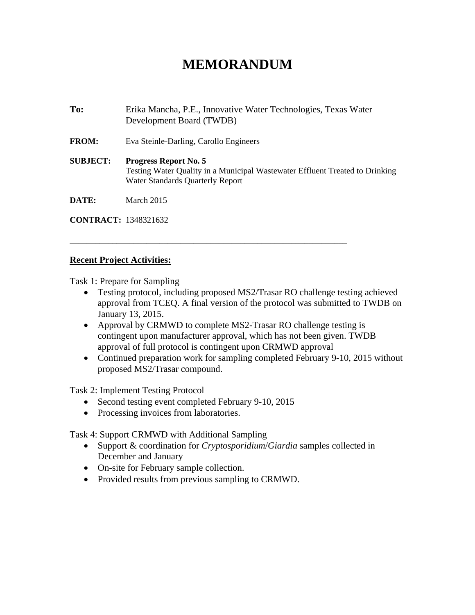## **MEMORANDUM**

**To:** Erika Mancha, P.E., Innovative Water Technologies, Texas Water Development Board (TWDB) **FROM:** Eva Steinle-Darling, Carollo Engineers **SUBJECT: Progress Report No. 5**  Testing Water Quality in a Municipal Wastewater Effluent Treated to Drinking Water Standards Quarterly Report **DATE:** March 2015

\_\_\_\_\_\_\_\_\_\_\_\_\_\_\_\_\_\_\_\_\_\_\_\_\_\_\_\_\_\_\_\_\_\_\_\_\_\_\_\_\_\_\_\_\_\_\_\_\_\_\_\_\_\_\_\_\_\_\_\_\_\_\_\_\_

**CONTRACT:** 1348321632

## **Recent Project Activities:**

Task 1: Prepare for Sampling

- Testing protocol, including proposed MS2/Trasar RO challenge testing achieved approval from TCEQ. A final version of the protocol was submitted to TWDB on January 13, 2015.
- Approval by CRMWD to complete MS2-Trasar RO challenge testing is contingent upon manufacturer approval, which has not been given. TWDB approval of full protocol is contingent upon CRMWD approval
- Continued preparation work for sampling completed February 9-10, 2015 without proposed MS2/Trasar compound.

Task 2: Implement Testing Protocol

- Second testing event completed February 9-10, 2015
- Processing invoices from laboratories.

Task 4: Support CRMWD with Additional Sampling

- Support & coordination for *Cryptosporidium*/*Giardia* samples collected in December and January
- On-site for February sample collection.
- Provided results from previous sampling to CRMWD.